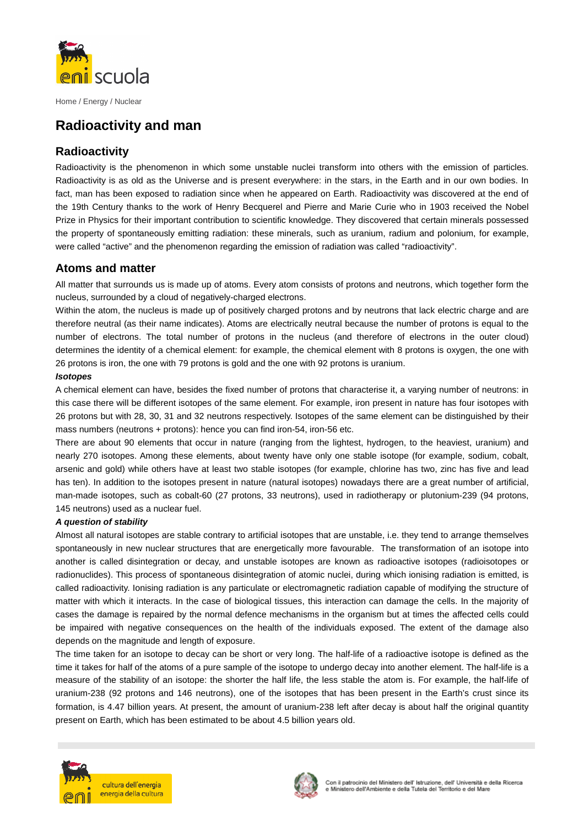

Home / Energy / Nuclear

# **Radioactivity and man**

# **Radioactivity**

Radioactivity is the phenomenon in which some unstable nuclei transform into others with the emission of particles. Radioactivity is as old as the Universe and is present everywhere: in the stars, in the Earth and in our own bodies. In fact, man has been exposed to radiation since when he appeared on Earth. Radioactivity was discovered at the end of the 19th Century thanks to the work of Henry Becquerel and Pierre and Marie Curie who in 1903 received the Nobel Prize in Physics for their important contribution to scientific knowledge. They discovered that certain minerals possessed the property of spontaneously emitting radiation: these minerals, such as uranium, radium and polonium, for example, were called "active" and the phenomenon regarding the emission of radiation was called "radioactivity".

### **Atoms and matter**

All matter that surrounds us is made up of atoms. Every atom consists of protons and neutrons, which together form the nucleus, surrounded by a cloud of negatively-charged electrons.

Within the atom, the nucleus is made up of positively charged protons and by neutrons that lack electric charge and are therefore neutral (as their name indicates). Atoms are electrically neutral because the number of protons is equal to the number of electrons. The total number of protons in the nucleus (and therefore of electrons in the outer cloud) determines the identity of a chemical element: for example, the chemical element with 8 protons is oxygen, the one with 26 protons is iron, the one with 79 protons is gold and the one with 92 protons is uranium.

#### **Isotopes**

A chemical element can have, besides the fixed number of protons that characterise it, a varying number of neutrons: in this case there will be different isotopes of the same element. For example, iron present in nature has four isotopes with 26 protons but with 28, 30, 31 and 32 neutrons respectively. Isotopes of the same element can be distinguished by their mass numbers (neutrons + protons): hence you can find iron-54, iron-56 etc.

There are about 90 elements that occur in nature (ranging from the lightest, hydrogen, to the heaviest, uranium) and nearly 270 isotopes. Among these elements, about twenty have only one stable isotope (for example, sodium, cobalt, arsenic and gold) while others have at least two stable isotopes (for example, chlorine has two, zinc has five and lead has ten). In addition to the isotopes present in nature (natural isotopes) nowadays there are a great number of artificial, man-made isotopes, such as cobalt-60 (27 protons, 33 neutrons), used in radiotherapy or plutonium-239 (94 protons, 145 neutrons) used as a nuclear fuel.

#### **A question of stability**

Almost all natural isotopes are stable contrary to artificial isotopes that are unstable, i.e. they tend to arrange themselves spontaneously in new nuclear structures that are energetically more favourable. The transformation of an isotope into another is called disintegration or decay, and unstable isotopes are known as radioactive isotopes (radioisotopes or radionuclides). This process of spontaneous disintegration of atomic nuclei, during which ionising radiation is emitted, is called radioactivity. Ionising radiation is any particulate or electromagnetic radiation capable of modifying the structure of matter with which it interacts. In the case of biological tissues, this interaction can damage the cells. In the majority of cases the damage is repaired by the normal defence mechanisms in the organism but at times the affected cells could be impaired with negative consequences on the health of the individuals exposed. The extent of the damage also depends on the magnitude and length of exposure.

The time taken for an isotope to decay can be short or very long. The half-life of a radioactive isotope is defined as the time it takes for half of the atoms of a pure sample of the isotope to undergo decay into another element. The half-life is a measure of the stability of an isotope: the shorter the half life, the less stable the atom is. For example, the half-life of uranium-238 (92 protons and 146 neutrons), one of the isotopes that has been present in the Earth's crust since its formation, is 4.47 billion years. At present, the amount of uranium-238 left after decay is about half the original quantity present on Earth, which has been estimated to be about 4.5 billion years old.